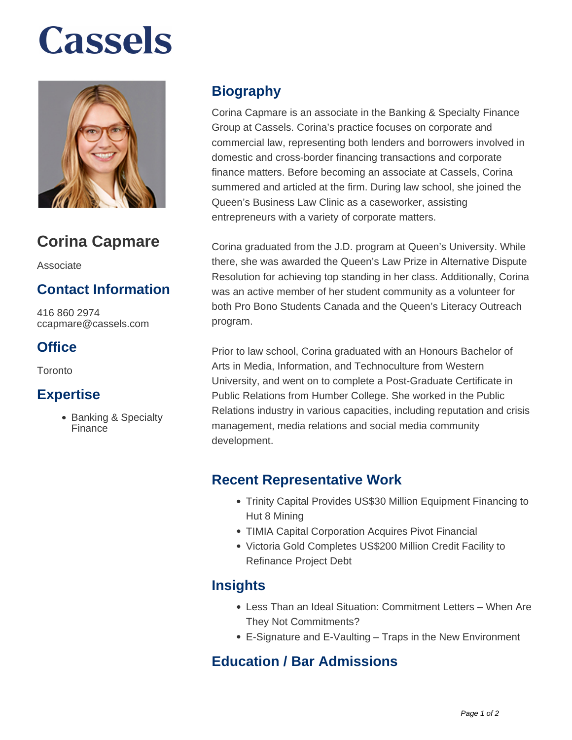# **Cassels**



### **Corina Capmare**

Associate

#### **Contact Information**

416 860 2974 ccapmare@cassels.com

#### **Office**

Toronto

#### **Expertise**

• Banking & Specialty Finance

#### **Biography**

Corina Capmare is an associate in the Banking & Specialty Finance Group at Cassels. Corina's practice focuses on corporate and commercial law, representing both lenders and borrowers involved in domestic and cross-border financing transactions and corporate finance matters. Before becoming an associate at Cassels, Corina summered and articled at the firm. During law school, she joined the Queen's Business Law Clinic as a caseworker, assisting entrepreneurs with a variety of corporate matters.

Corina graduated from the J.D. program at Queen's University. While there, she was awarded the Queen's Law Prize in Alternative Dispute Resolution for achieving top standing in her class. Additionally, Corina was an active member of her student community as a volunteer for both Pro Bono Students Canada and the Queen's Literacy Outreach program.

Prior to law school, Corina graduated with an Honours Bachelor of Arts in Media, Information, and Technoculture from Western University, and went on to complete a Post-Graduate Certificate in Public Relations from Humber College. She worked in the Public Relations industry in various capacities, including reputation and crisis management, media relations and social media community development.

#### **Recent Representative Work**

- Trinity Capital Provides US\$30 Million Equipment Financing to Hut 8 Mining
- TIMIA Capital Corporation Acquires Pivot Financial
- Victoria Gold Completes US\$200 Million Credit Facility to Refinance Project Debt

#### **Insights**

- Less Than an Ideal Situation: Commitment Letters When Are They Not Commitments?
- E-Signature and E-Vaulting Traps in the New Environment

#### **Education / Bar Admissions**